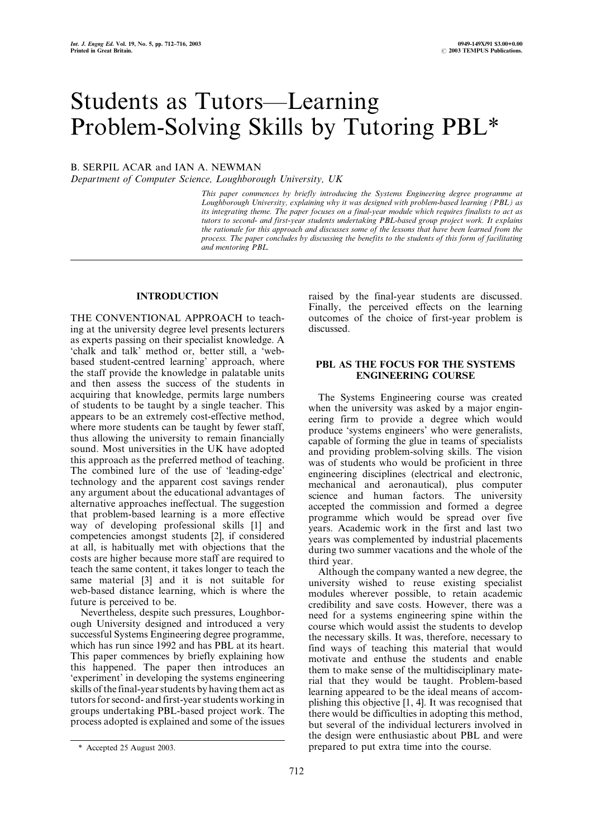# Students as Tutors—Learning Problem-Solving Skills by Tutoring PBL\*

## B. SERPIL ACAR and IAN A. NEWMAN

Department of Computer Science, Loughborough University, UK

This paper commences by briefly introducing the Systems Engineering degree programme at Loughborough University, explaining why it was designed with problem-based learning (PBL) as its integrating theme. The paper focuses on a final-year module which requires finalists to act as tutors to second- and first-year students undertaking PBL-based group project work. It explains the rationale for this approach and discusses some of the lessons that have been learned from the process. The paper concludes by discussing the benefits to the students of this form of facilitating and mentoring PBL.

#### INTRODUCTION

THE CONVENTIONAL APPROACH to teaching at the university degree level presents lecturers as experts passing on their specialist knowledge. A `chalk and talk' method or, better still, a `webbased student-centred learning' approach, where the staff provide the knowledge in palatable units and then assess the success of the students in acquiring that knowledge, permits large numbers of students to be taught by a single teacher. This appears to be an extremely cost-effective method, where more students can be taught by fewer staff, thus allowing the university to remain financially sound. Most universities in the UK have adopted this approach as the preferred method of teaching. The combined lure of the use of 'leading-edge' technology and the apparent cost savings render any argument about the educational advantages of alternative approaches ineffectual. The suggestion that problem-based learning is a more effective way of developing professional skills [1] and competencies amongst students [2], if considered at all, is habitually met with objections that the costs are higher because more staff are required to teach the same content, it takes longer to teach the same material [3] and it is not suitable for web-based distance learning, which is where the future is perceived to be.

Nevertheless, despite such pressures, Loughborough University designed and introduced a very successful Systems Engineering degree programme, which has run since 1992 and has PBL at its heart. This paper commences by briefly explaining how this happened. The paper then introduces an `experiment' in developing the systems engineering skills of the final-year students by having them act as tutors for second- and first-year students working in groups undertaking PBL-based project work. The process adopted is explained and some of the issues raised by the final-year students are discussed. Finally, the perceived effects on the learning outcomes of the choice of first-year problem is discussed.

#### PBL AS THE FOCUS FOR THE SYSTEMS ENGINEERING COURSE

The Systems Engineering course was created when the university was asked by a major engineering firm to provide a degree which would produce `systems engineers' who were generalists, capable of forming the glue in teams of specialists and providing problem-solving skills. The vision was of students who would be proficient in three engineering disciplines (electrical and electronic, mechanical and aeronautical), plus computer science and human factors. The university accepted the commission and formed a degree programme which would be spread over five years. Academic work in the first and last two years was complemented by industrial placements during two summer vacations and the whole of the third year.

Although the company wanted a new degree, the university wished to reuse existing specialist modules wherever possible, to retain academic credibility and save costs. However, there was a need for a systems engineering spine within the course which would assist the students to develop the necessary skills. It was, therefore, necessary to find ways of teaching this material that would motivate and enthuse the students and enable them to make sense of the multidisciplinary material that they would be taught. Problem-based learning appeared to be the ideal means of accomplishing this objective [1, 4]. It was recognised that there would be difficulties in adopting this method, but several of the individual lecturers involved in the design were enthusiastic about PBL and were \* Accepted 25 August 2003. prepared to put extra time into the course.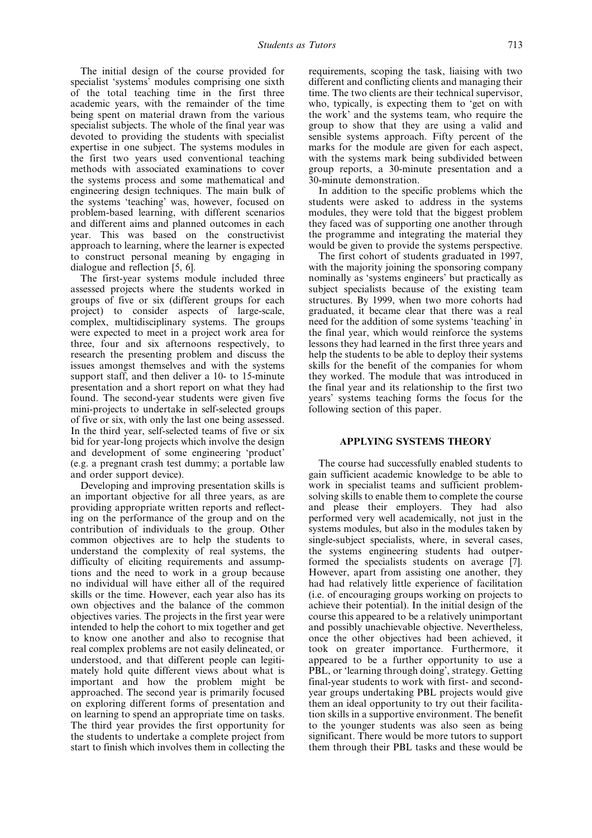The initial design of the course provided for specialist 'systems' modules comprising one sixth of the total teaching time in the first three academic years, with the remainder of the time being spent on material drawn from the various specialist subjects. The whole of the final year was devoted to providing the students with specialist expertise in one subject. The systems modules in the first two years used conventional teaching methods with associated examinations to cover the systems process and some mathematical and engineering design techniques. The main bulk of the systems `teaching' was, however, focused on problem-based learning, with different scenarios and different aims and planned outcomes in each year. This was based on the constructivist approach to learning, where the learner is expected to construct personal meaning by engaging in dialogue and reflection [5, 6].

The first-year systems module included three assessed projects where the students worked in groups of five or six (different groups for each project) to consider aspects of large-scale, complex, multidisciplinary systems. The groups were expected to meet in a project work area for three, four and six afternoons respectively, to research the presenting problem and discuss the issues amongst themselves and with the systems support staff, and then deliver a 10- to 15-minute presentation and a short report on what they had found. The second-year students were given five mini-projects to undertake in self-selected groups of five or six, with only the last one being assessed. In the third year, self-selected teams of five or six bid for year-long projects which involve the design and development of some engineering `product' (e.g. a pregnant crash test dummy; a portable law and order support device).

Developing and improving presentation skills is an important objective for all three years, as are providing appropriate written reports and reflecting on the performance of the group and on the contribution of individuals to the group. Other common objectives are to help the students to understand the complexity of real systems, the difficulty of eliciting requirements and assumptions and the need to work in a group because no individual will have either all of the required skills or the time. However, each year also has its own objectives and the balance of the common objectives varies. The projects in the first year were intended to help the cohort to mix together and get to know one another and also to recognise that real complex problems are not easily delineated, or understood, and that different people can legitimately hold quite different views about what is important and how the problem might be approached. The second year is primarily focused on exploring different forms of presentation and on learning to spend an appropriate time on tasks. The third year provides the first opportunity for the students to undertake a complete project from start to finish which involves them in collecting the

requirements, scoping the task, liaising with two different and conflicting clients and managing their time. The two clients are their technical supervisor, who, typically, is expecting them to 'get on with the work' and the systems team, who require the group to show that they are using a valid and sensible systems approach. Fifty percent of the marks for the module are given for each aspect, with the systems mark being subdivided between group reports, a 30-minute presentation and a 30-minute demonstration.

In addition to the specific problems which the students were asked to address in the systems modules, they were told that the biggest problem they faced was of supporting one another through the programme and integrating the material they would be given to provide the systems perspective.

The first cohort of students graduated in 1997, with the majority joining the sponsoring company nominally as `systems engineers' but practically as subject specialists because of the existing team structures. By 1999, when two more cohorts had graduated, it became clear that there was a real need for the addition of some systems `teaching' in the final year, which would reinforce the systems lessons they had learned in the first three years and help the students to be able to deploy their systems skills for the benefit of the companies for whom they worked. The module that was introduced in the final year and its relationship to the first two years' systems teaching forms the focus for the following section of this paper.

#### APPLYING SYSTEMS THEORY

The course had successfully enabled students to gain sufficient academic knowledge to be able to work in specialist teams and sufficient problemsolving skills to enable them to complete the course and please their employers. They had also performed very well academically, not just in the systems modules, but also in the modules taken by single-subject specialists, where, in several cases, the systems engineering students had outperformed the specialists students on average [7]. However, apart from assisting one another, they had had relatively little experience of facilitation (i.e. of encouraging groups working on projects to achieve their potential). In the initial design of the course this appeared to be a relatively unimportant and possibly unachievable objective. Nevertheless, once the other objectives had been achieved, it took on greater importance. Furthermore, it appeared to be a further opportunity to use a PBL, or 'learning through doing', strategy. Getting final-year students to work with first- and secondyear groups undertaking PBL projects would give them an ideal opportunity to try out their facilitation skills in a supportive environment. The benefit to the younger students was also seen as being significant. There would be more tutors to support them through their PBL tasks and these would be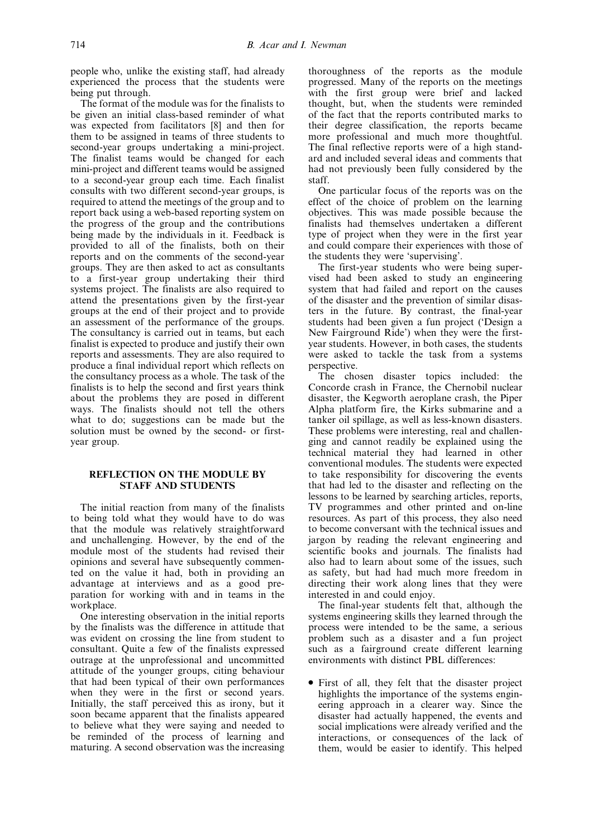people who, unlike the existing staff, had already experienced the process that the students were being put through.

The format of the module was for the finalists to be given an initial class-based reminder of what was expected from facilitators [8] and then for them to be assigned in teams of three students to second-year groups undertaking a mini-project. The finalist teams would be changed for each mini-project and different teams would be assigned to a second-year group each time. Each finalist consults with two different second-year groups, is required to attend the meetings of the group and to report back using a web-based reporting system on the progress of the group and the contributions being made by the individuals in it. Feedback is provided to all of the finalists, both on their reports and on the comments of the second-year groups. They are then asked to act as consultants to a first-year group undertaking their third systems project. The finalists are also required to attend the presentations given by the first-year groups at the end of their project and to provide an assessment of the performance of the groups. The consultancy is carried out in teams, but each finalist is expected to produce and justify their own reports and assessments. They are also required to produce a final individual report which reflects on the consultancy process as a whole. The task of the finalists is to help the second and first years think about the problems they are posed in different ways. The finalists should not tell the others what to do; suggestions can be made but the solution must be owned by the second- or firstyear group.

### REFLECTION ON THE MODULE BY STAFF AND STUDENTS

The initial reaction from many of the finalists to being told what they would have to do was that the module was relatively straightforward and unchallenging. However, by the end of the module most of the students had revised their opinions and several have subsequently commented on the value it had, both in providing an advantage at interviews and as a good preparation for working with and in teams in the workplace.

One interesting observation in the initial reports by the finalists was the difference in attitude that was evident on crossing the line from student to consultant. Quite a few of the finalists expressed outrage at the unprofessional and uncommitted attitude of the younger groups, citing behaviour that had been typical of their own performances when they were in the first or second years. Initially, the staff perceived this as irony, but it soon became apparent that the finalists appeared to believe what they were saying and needed to be reminded of the process of learning and maturing. A second observation was the increasing thoroughness of the reports as the module progressed. Many of the reports on the meetings with the first group were brief and lacked thought, but, when the students were reminded of the fact that the reports contributed marks to their degree classification, the reports became more professional and much more thoughtful. The final reflective reports were of a high standard and included several ideas and comments that had not previously been fully considered by the staff.

One particular focus of the reports was on the effect of the choice of problem on the learning objectives. This was made possible because the finalists had themselves undertaken a different type of project when they were in the first year and could compare their experiences with those of the students they were `supervising'.

The first-year students who were being supervised had been asked to study an engineering system that had failed and report on the causes of the disaster and the prevention of similar disasters in the future. By contrast, the final-year students had been given a fun project (`Design a New Fairground Ride') when they were the firstyear students. However, in both cases, the students were asked to tackle the task from a systems perspective.

The chosen disaster topics included: the Concorde crash in France, the Chernobil nuclear disaster, the Kegworth aeroplane crash, the Piper Alpha platform fire, the Kirks submarine and a tanker oil spillage, as well as less-known disasters. These problems were interesting, real and challenging and cannot readily be explained using the technical material they had learned in other conventional modules. The students were expected to take responsibility for discovering the events that had led to the disaster and reflecting on the lessons to be learned by searching articles, reports, TV programmes and other printed and on-line resources. As part of this process, they also need to become conversant with the technical issues and jargon by reading the relevant engineering and scientific books and journals. The finalists had also had to learn about some of the issues, such as safety, but had had much more freedom in directing their work along lines that they were interested in and could enjoy.

The final-year students felt that, although the systems engineering skills they learned through the process were intended to be the same, a serious problem such as a disaster and a fun project such as a fairground create different learning environments with distinct PBL differences:

. First of all, they felt that the disaster project highlights the importance of the systems engineering approach in a clearer way. Since the disaster had actually happened, the events and social implications were already verified and the interactions, or consequences of the lack of them, would be easier to identify. This helped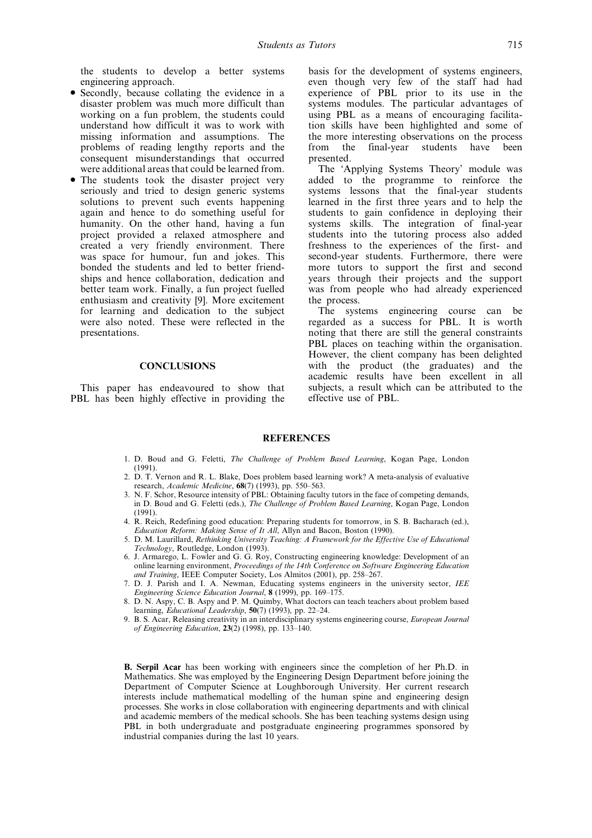the students to develop a better systems engineering approach.

- . Secondly, because collating the evidence in a disaster problem was much more difficult than working on a fun problem, the students could understand how difficult it was to work with missing information and assumptions. The problems of reading lengthy reports and the consequent misunderstandings that occurred were additional areas that could be learned from.
- . The students took the disaster project very seriously and tried to design generic systems solutions to prevent such events happening again and hence to do something useful for humanity. On the other hand, having a fun project provided a relaxed atmosphere and created a very friendly environment. There was space for humour, fun and jokes. This bonded the students and led to better friendships and hence collaboration, dedication and better team work. Finally, a fun project fuelled enthusiasm and creativity [9]. More excitement for learning and dedication to the subject were also noted. These were reflected in the presentations.

### **CONCLUSIONS**

This paper has endeavoured to show that PBL has been highly effective in providing the basis for the development of systems engineers, even though very few of the staff had had experience of PBL prior to its use in the systems modules. The particular advantages of using PBL as a means of encouraging facilitation skills have been highlighted and some of the more interesting observations on the process from the final-year students have been presented.

The `Applying Systems Theory' module was added to the programme to reinforce the systems lessons that the final-year students learned in the first three years and to help the students to gain confidence in deploying their systems skills. The integration of final-year students into the tutoring process also added freshness to the experiences of the first- and second-year students. Furthermore, there were more tutors to support the first and second years through their projects and the support was from people who had already experienced the process.

The systems engineering course can be regarded as a success for PBL. It is worth noting that there are still the general constraints PBL places on teaching within the organisation. However, the client company has been delighted with the product (the graduates) and the academic results have been excellent in all subjects, a result which can be attributed to the effective use of PBL.

#### **REFERENCES**

- 1. D. Boud and G. Feletti, The Challenge of Problem Based Learning, Kogan Page, London (1991).
- 2. D. T. Vernon and R. L. Blake, Does problem based learning work? A meta-analysis of evaluative research, Academic Medicine,  $68(7)$  (1993), pp. 550–563.
- 3. N. F. Schor, Resource intensity of PBL: Obtaining faculty tutors in the face of competing demands, in D. Boud and G. Feletti (eds.), The Challenge of Problem Based Learning, Kogan Page, London (1991).
- 4. R. Reich, Redefining good education: Preparing students for tomorrow, in S. B. Bacharach (ed.), Education Reform: Making Sense of It All, Allyn and Bacon, Boston (1990).
- 5. D. M. Laurillard, Rethinking University Teaching: A Framework for the Effective Use of Educational Technology, Routledge, London (1993).
- 6. J. Armarego, L. Fowler and G. G. Roy, Constructing engineering knowledge: Development of an online learning environment, Proceedings of the 14th Conference on Software Engineering Education and Training, IEEE Computer Society, Los Almitos (2001), pp. 258-267.
- 7. D. J. Parish and I. A. Newman, Educating systems engineers in the university sector, IEE Engineering Science Education Journal, 8 (1999), pp. 169-175.
- 8. D. N. Aspy, C. B. Aspy and P. M. Quimby, What doctors can teach teachers about problem based learning, Educational Leadership, 50(7) (1993), pp. 22-24.
- 9. B. S. Acar, Releasing creativity in an interdisciplinary systems engineering course, European Journal of Engineering Education,  $23(2)$  (1998), pp. 133-140.

B. Serpil Acar has been working with engineers since the completion of her Ph.D. in Mathematics. She was employed by the Engineering Design Department before joining the Department of Computer Science at Loughborough University. Her current research interests include mathematical modelling of the human spine and engineering design processes. She works in close collaboration with engineering departments and with clinical and academic members of the medical schools. She has been teaching systems design using PBL in both undergraduate and postgraduate engineering programmes sponsored by industrial companies during the last 10 years.